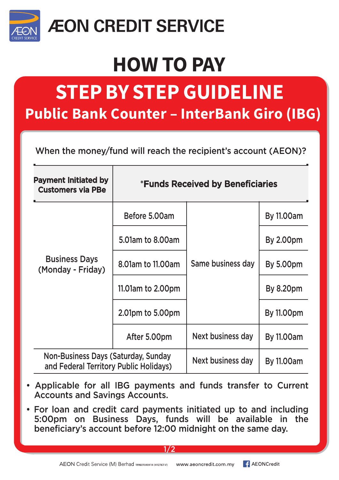

## **ÆON CREDIT SERVICE**

# **HOW TO PAY**

## **Public Bank Counter - InterBank Giro (IBG) STEP BY STEP GUIDELINE**

When the money/fund will reach the recipient's account (AEON)?

| <b>Payment Initiated by</b><br><b>Customers via PBe</b>                       | <b>*Funds Received by Beneficiaries</b> |                   |                   |
|-------------------------------------------------------------------------------|-----------------------------------------|-------------------|-------------------|
| <b>Business Days</b><br>(Monday - Friday)                                     | Before 5,00am                           | Same business day | <b>By 11.00am</b> |
|                                                                               | 5.01am to 8.00am                        |                   | <b>By 2.00pm</b>  |
|                                                                               | 8.01am to 11.00am                       |                   | <b>By 5.00pm</b>  |
|                                                                               | 11.01am to 2.00pm                       |                   | <b>By 8.20pm</b>  |
|                                                                               | 2.01pm to 5.00pm                        |                   | <b>By 11.00pm</b> |
|                                                                               | After 5.00pm                            | Next business day | By 11.00am        |
| Non-Business Days (Saturday, Sunday<br>and Federal Territory Public Holidays) |                                         | Next business day | <b>By 11.00am</b> |

- Applicable for all IBG payments and funds transfer to Current Accounts and Savings Accounts.
- For loan and credit card payments initiated up to and including 5:00pm on Business Days, funds will be available in the beneficiary's account before 12:00 midnight on the same day.